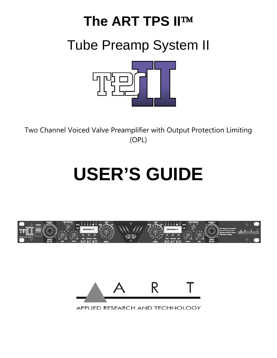# **The ART TPS IITM** Tube Preamp System II

Two Channel Voiced Valve Preamplifier with Output Protection Limiting (OPL)

# **USER'S GUIDE**





APPLIED RESEARCH AND TECHNOLOGY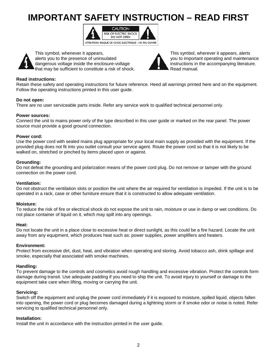# **IMPORTANT SAFETY INSTRUCTION – READ FIRST**





 This symbol, whenever it appears, This symbol, wherever it appears, alerts alerts you to the presence of uninsulated you to important operating and maintenance dangerous voltage inside the enclosure-voltage **instructions** in the accompanying literature. that may be sufficient to constitute a risk of shock.  $\blacksquare$  Read manual.



#### **Read instructions:**

Retain these safety and operating instructions for future reference. Heed all warnings printed here and on the equipment. Follow the operating instructions printed in this user guide.

#### **Do not open:**

There are no user serviceable parts inside. Refer any service work to qualified technical personnel only.

#### **Power sources:**

Connect the unit to mains power only of the type described in this user guide or marked on the rear panel. The power source must provide a good ground connection.

#### **Power cord:**

Use the power cord with sealed mains plug appropriate for your local main supply as provided with the equipment. If the provided plug does not fit into you outlet consult your service agent. Route the power cord so that it is not likely to be walked on, stretched or pinched by items placed upon or against.

#### **Grounding:**

Do not defeat the grounding and polarization means of the power cord plug. Do not remove or tamper with the ground connection on the power cord.

#### **Ventilation:**

Do not obstruct the ventilation slots or position the unit where the air required for ventilation is impeded. If the unit is to be operated in a rack, case or other furniture ensure that it is constructed to allow adequate ventilation.

#### **Moisture:**

To reduce the risk of fire or electrical shock do not expose the unit to rain, moisture or use in damp or wet conditions. Do not place container of liquid on it, which may spill into any openings.

#### **Heat:**

Do not locate the unit in a place close to excessive heat or direct sunlight, as this could be a fire hazard. Locate the unit away from any equipment, which produces heat such as: power supplies, power amplifiers and heaters.

#### **Environment:**

Protect from excessive dirt, dust, heat, and vibration when operating and storing. Avoid tobacco ash, drink spillage and smoke, especially that associated with smoke machines.

#### **Handling:**

To prevent damage to the controls and cosmetics avoid rough handling and excessive vibration. Protect the controls form damage during transit. Use adequate padding if you need to ship the unit. To avoid injury to yourself or damage to the equipment take care when lifting, moving or carrying the unit.

#### **Servicing:**

Switch off the equipment and unplug the power cord immediately if it is exposed to moisture, spilled liquid, objects fallen into opening, the power cord or plug becomes damaged during a lightning storm or if smoke odor or noise is noted. Refer servicing to qualified technical personnel only.

#### **Installation:**

Install the unit in accordance with the instruction printed in the user guide.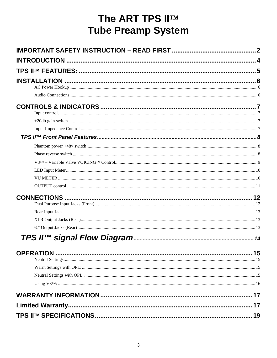# The ART TPS II™ **Tube Preamp System**

| <b>Limited Warranty</b> |  |
|-------------------------|--|
|                         |  |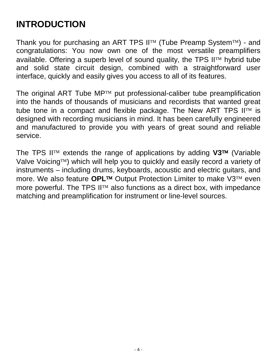# **INTRODUCTION**

Thank you for purchasing an ART TPS  $II^{TM}$  (Tube Preamp System $TM$ ) - and congratulations: You now own one of the most versatile preamplifiers available. Offering a superb level of sound quality, the TPS  $II<sup>TM</sup>$  hybrid tube and solid state circuit design, combined with a straightforward user interface, quickly and easily gives you access to all of its features.

The original ART Tube  $MP^{TM}$  put professional-caliber tube preamplification into the hands of thousands of musicians and recordists that wanted great tube tone in a compact and flexible package. The New ART TPS  $II^{TM}$  is designed with recording musicians in mind. It has been carefully engineered and manufactured to provide you with years of great sound and reliable service.

The TPS II™ extends the range of applications by adding V3™ (Variable Valve Voicing<sup>TM</sup>) which will help you to quickly and easily record a variety of instruments – including drums, keyboards, acoustic and electric guitars, and more. We also feature **OPL™** Output Protection Limiter to make V3™ even more powerful. The TPS  $II^{\text{TM}}$  also functions as a direct box, with impedance matching and preamplification for instrument or line-level sources.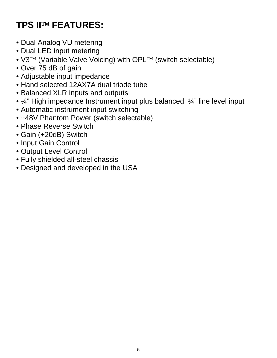# **TPS II FEATURES:**

- Dual Analog VU metering
- Dual LED input metering
- $\sqrt{3^{TM}}$  (Variable Valve Voicing) with OPL $TM$  (switch selectable)
- Over 75 dB of gain
- Adjustable input impedance
- Hand selected 12AX7A dual triode tube
- Balanced XLR inputs and outputs
- ¼" High impedance Instrument input plus balanced ¼" line level input
- Automatic instrument input switching
- +48V Phantom Power (switch selectable)
- Phase Reverse Switch
- Gain (+20dB) Switch
- Input Gain Control
- Output Level Control
- Fully shielded all-steel chassis
- Designed and developed in the USA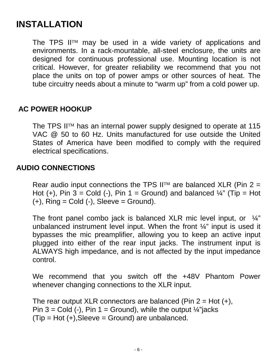# **INSTALLATION**

The TPS II $TM$  may be used in a wide variety of applications and environments. In a rack-mountable, all-steel enclosure, the units are designed for continuous professional use. Mounting location is not critical. However, for greater reliability we recommend that you not place the units on top of power amps or other sources of heat. The tube circuitry needs about a minute to "warm up" from a cold power up.

#### **AC POWER HOOKUP**

The TPS II<sup>TM</sup> has an internal power supply designed to operate at 115 VAC @ 50 to 60 Hz. Units manufactured for use outside the United States of America have been modified to comply with the required electrical specifications.

#### **AUDIO CONNECTIONS**

Rear audio input connections the TPS  $II<sup>TM</sup>$  are balanced XLR (Pin 2 = Hot  $(+)$ , Pin 3 = Cold  $(-)$ , Pin 1 = Ground) and balanced  $\frac{1}{4}$ " (Tip = Hot  $(+)$ , Ring = Cold  $(-)$ , Sleeve = Ground).

The front panel combo jack is balanced XLR mic level input, or  $\frac{1}{4}$ " unbalanced instrument level input. When the front ¼" input is used it bypasses the mic preamplifier, allowing you to keep an active input plugged into either of the rear input jacks. The instrument input is ALWAYS high impedance, and is not affected by the input impedance control.

We recommend that you switch off the +48V Phantom Power whenever changing connections to the XLR input.

The rear output XLR connectors are balanced (Pin  $2 = Hot (+)$ , Pin 3 = Cold (-), Pin 1 = Ground), while the output  $\frac{1}{4}$ "jacks  $(Tip = Hot (+),Sleeve = Ground)$  are unbalanced.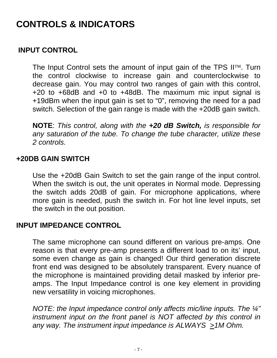# **CONTROLS & INDICATORS**

#### **INPUT CONTROL**

The Input Control sets the amount of input gain of the TPS  $II<sup>TM</sup>$ . Turn the control clockwise to increase gain and counterclockwise to decrease gain. You may control two ranges of gain with this control, +20 to +68dB and +0 to +48dB. The maximum mic input signal is +19dBm when the input gain is set to "0", removing the need for a pad switch. Selection of the gain range is made with the +20dB gain switch.

**NOTE**: *This control, along with the +20 dB Switch, is responsible for any saturation of the tube. To change the tube character, utilize these 2 controls.* 

#### **+20DB GAIN SWITCH**

Use the +20dB Gain Switch to set the gain range of the input control. When the switch is out, the unit operates in Normal mode. Depressing the switch adds 20dB of gain. For microphone applications, where more gain is needed, push the switch in. For hot line level inputs, set the switch in the out position.

#### **INPUT IMPEDANCE CONTROL**

The same microphone can sound different on various pre-amps. One reason is that every pre-amp presents a different load to on its' input, some even change as gain is changed! Our third generation discrete front end was designed to be absolutely transparent. Every nuance of the microphone is maintained providing detail masked by inferior preamps. The Input Impedance control is one key element in providing new versatility in voicing microphones.

*NOTE: the Input impedance control only affects mic/line inputs. The ¼" instrument input on the front panel is NOT affected by this control in any way. The instrument input impedance is ALWAYS >1M Ohm.*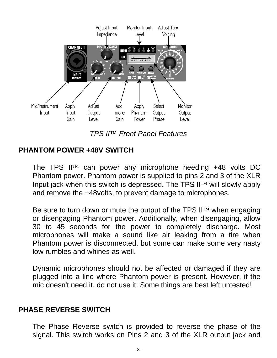

*TPS II™ Front Panel Features* 

#### **PHANTOM POWER +48V SWITCH**

The TPS II<sup>M</sup> can power any microphone needing  $+48$  volts DC Phantom power. Phantom power is supplied to pins 2 and 3 of the XLR Input jack when this switch is depressed. The TPS  $II<sup>TM</sup>$  will slowly apply and remove the +48volts, to prevent damage to microphones.

Be sure to turn down or mute the output of the TPS  $II<sup>TM</sup>$  when engaging or disengaging Phantom power. Additionally, when disengaging, allow 30 to 45 seconds for the power to completely discharge. Most microphones will make a sound like air leaking from a tire when Phantom power is disconnected, but some can make some very nasty low rumbles and whines as well.

Dynamic microphones should not be affected or damaged if they are plugged into a line where Phantom power is present. However, if the mic doesn't need it, do not use it. Some things are best left untested!

#### **PHASE REVERSE SWITCH**

The Phase Reverse switch is provided to reverse the phase of the signal. This switch works on Pins 2 and 3 of the XLR output jack and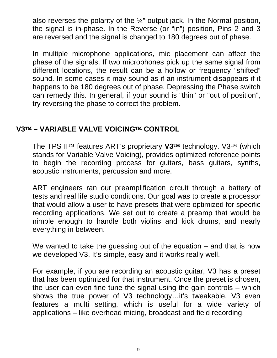also reverses the polarity of the ¼" output jack. In the Normal position, the signal is in-phase. In the Reverse (or "in") position, Pins 2 and 3 are reversed and the signal is changed to 180 degrees out of phase.

In multiple microphone applications, mic placement can affect the phase of the signals. If two microphones pick up the same signal from different locations, the result can be a hollow or frequency "shifted" sound. In some cases it may sound as if an instrument disappears if it happens to be 180 degrees out of phase. Depressing the Phase switch can remedy this. In general, if your sound is "thin" or "out of position", try reversing the phase to correct the problem.

#### **V3 – VARIABLE VALVE VOICING CONTROL**

The TPS II<sup>TM</sup> features ART's proprietary V3<sup>TM</sup> technology. V3<sup>TM</sup> (which stands for Variable Valve Voicing), provides optimized reference points to begin the recording process for guitars, bass guitars, synths, acoustic instruments, percussion and more.

ART engineers ran our preamplification circuit through a battery of tests and real life studio conditions. Our goal was to create a processor that would allow a user to have presets that were optimized for specific recording applications. We set out to create a preamp that would be nimble enough to handle both violins and kick drums, and nearly everything in between.

We wanted to take the guessing out of the equation – and that is how we developed V3. It's simple, easy and it works really well.

For example, if you are recording an acoustic guitar, V3 has a preset that has been optimized for that instrument. Once the preset is chosen, the user can even fine tune the signal using the gain controls – which shows the true power of V3 technology…it's tweakable. V3 even features a multi setting, which is useful for a wide variety of applications – like overhead micing, broadcast and field recording.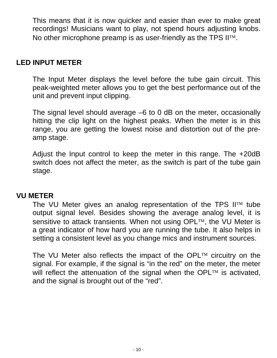This means that it is now quicker and easier than ever to make great recordings! Musicians want to play, not spend hours adjusting knobs. No other microphone preamp is as user-friendly as the TPS  $II<sup>TM</sup>$ .

#### **LED INPUT METER**

The Input Meter displays the level before the tube gain circuit. This peak-weighted meter allows you to get the best performance out of the unit and prevent input clipping.

The signal level should average –6 to 0 dB on the meter, occasionally hitting the clip light on the highest peaks. When the meter is in this range, you are getting the lowest noise and distortion out of the preamp stage.

Adjust the Input control to keep the meter in this range. The +20dB switch does not affect the meter, as the switch is part of the tube gain stage.

#### **VU METER**

The VU Meter gives an analog representation of the TPS  $II<sup>TM</sup>$  tube output signal level. Besides showing the average analog level, it is sensitive to attack transients. When not using  $OPL^{TM}$ , the VU Meter is a great indicator of how hard you are running the tube. It also helps in setting a consistent level as you change mics and instrument sources.

The VU Meter also reflects the impact of the OPL $TM$  circuitry on the signal. For example, if the signal is "in the red" on the meter, the meter will reflect the attenuation of the signal when the OPL $TM$  is activated, and the signal is brought out of the "red".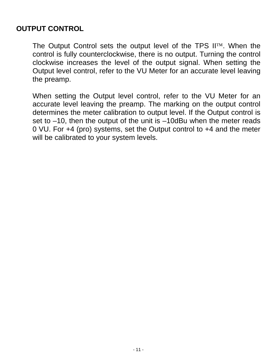#### **OUTPUT CONTROL**

The Output Control sets the output level of the TPS  $\mathsf{II}^{\mathrm{TM}}$ . When the control is fully counterclockwise, there is no output. Turning the control clockwise increases the level of the output signal. When setting the Output level control, refer to the VU Meter for an accurate level leaving the preamp.

When setting the Output level control, refer to the VU Meter for an accurate level leaving the preamp. The marking on the output control determines the meter calibration to output level. If the Output control is set to –10, then the output of the unit is –10dBu when the meter reads 0 VU. For +4 (pro) systems, set the Output control to +4 and the meter will be calibrated to your system levels.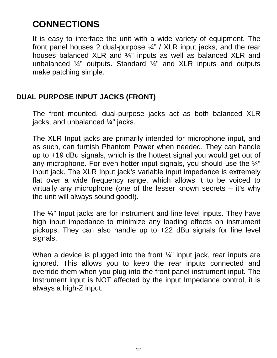# **CONNECTIONS**

It is easy to interface the unit with a wide variety of equipment. The front panel houses 2 dual-purpose ¼" / XLR input jacks, and the rear houses balanced XLR and ¼" inputs as well as balanced XLR and unbalanced ¼" outputs. Standard ¼" and XLR inputs and outputs make patching simple.

#### **DUAL PURPOSE INPUT JACKS (FRONT)**

The front mounted, dual-purpose jacks act as both balanced XLR jacks, and unbalanced ¼" jacks.

The XLR Input jacks are primarily intended for microphone input, and as such, can furnish Phantom Power when needed. They can handle up to +19 dBu signals, which is the hottest signal you would get out of any microphone. For even hotter input signals, you should use the ¼" input jack. The XLR Input jack's variable input impedance is extremely flat over a wide frequency range, which allows it to be voiced to virtually any microphone (one of the lesser known secrets – it's why the unit will always sound good!).

The ¼" Input jacks are for instrument and line level inputs. They have high input impedance to minimize any loading effects on instrument pickups. They can also handle up to +22 dBu signals for line level signals.

When a device is plugged into the front  $\frac{1}{4}$ " input jack, rear inputs are ignored. This allows you to keep the rear inputs connected and override them when you plug into the front panel instrument input. The Instrument input is NOT affected by the input Impedance control, it is always a high-Z input.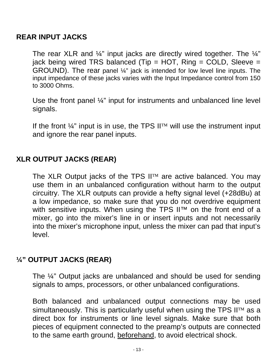#### **REAR INPUT JACKS**

The rear XLR and  $\frac{1}{4}$ " input jacks are directly wired together. The  $\frac{1}{4}$ " jack being wired TRS balanced (Tip = HOT, Ring = COLD, Sleeve = GROUND). The rear panel ¼" jack is intended for low level line inputs. The input impedance of these jacks varies with the Input Impedance control from 150 to 3000 Ohms.

Use the front panel ¼" input for instruments and unbalanced line level signals.

If the front  $\frac{1}{4}$ " input is in use, the TPS  $\prod_{i=1}^{n}$  will use the instrument input and ignore the rear panel inputs.

#### **XLR OUTPUT JACKS (REAR)**

The XLR Output jacks of the TPS  $II<sup>TM</sup>$  are active balanced. You may use them in an unbalanced configuration without harm to the output circuitry. The XLR outputs can provide a hefty signal level (+28dBu) at a low impedance, so make sure that you do not overdrive equipment with sensitive inputs. When using the TPS II™ on the front end of a mixer, go into the mixer's line in or insert inputs and not necessarily into the mixer's microphone input, unless the mixer can pad that input's level.

#### **¼" OUTPUT JACKS (REAR)**

The ¼" Output jacks are unbalanced and should be used for sending signals to amps, processors, or other unbalanced configurations.

Both balanced and unbalanced output connections may be used simultaneously. This is particularly useful when using the TPS  $II<sup>TM</sup>$  as a direct box for instruments or line level signals. Make sure that both pieces of equipment connected to the preamp's outputs are connected to the same earth ground, beforehand, to avoid electrical shock.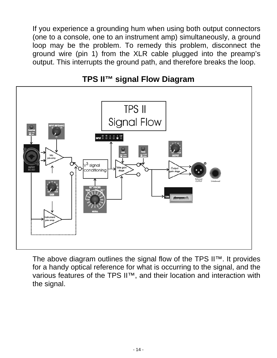If you experience a grounding hum when using both output connectors (one to a console, one to an instrument amp) simultaneously, a ground loop may be the problem. To remedy this problem, disconnect the ground wire (pin 1) from the XLR cable plugged into the preamp's output. This interrupts the ground path, and therefore breaks the loop.



#### **TPS II™ signal Flow Diagram**

The above diagram outlines the signal flow of the TPS II™. It provides for a handy optical reference for what is occurring to the signal, and the various features of the TPS II™, and their location and interaction with the signal.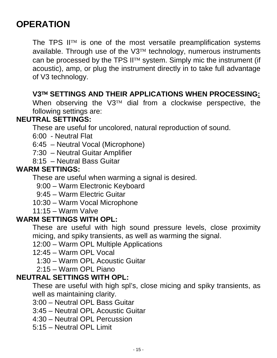# **OPERATION**

The TPS  $II<sup>TM</sup>$  is one of the most versatile preamplification systems available. Through use of the  $V3^{TM}$  technology, numerous instruments can be processed by the TPS  $II<sup>TM</sup>$  system. Simply mic the instrument (if acoustic), amp, or plug the instrument directly in to take full advantage of V3 technology.

#### **V3 SETTINGS AND THEIR APPLICATIONS WHEN PROCESSING:**

When observing the  $V3^{TM}$  dial from a clockwise perspective, the following settings are:

#### **NEUTRAL SETTINGS:**

These are useful for uncolored, natural reproduction of sound.

- 6:00 Neutral Flat
- 6:45 Neutral Vocal (Microphone)
- 7:30 Neutral Guitar Amplifier
- 8:15 Neutral Bass Guitar

#### **WARM SETTINGS:**

These are useful when warming a signal is desired.

9:00 – Warm Electronic Keyboard

9:45 – Warm Electric Guitar

- 10:30 Warm Vocal Microphone
- 11:15 Warm Valve

#### **WARM SETTINGS WITH OPL:**

These are useful with high sound pressure levels, close proximity micing, and spiky transients, as well as warming the signal.

12:00 – Warm OPL Multiple Applications

- 12:45 Warm OPL Vocal
	- 1:30 Warm OPL Acoustic Guitar
	- 2:15 Warm OPL Piano

#### **NEUTRAL SETTINGS WITH OPL:**

These are useful with high spl's, close micing and spiky transients, as well as maintaining clarity.

- 3:00 Neutral OPL Bass Guitar
- 3:45 Neutral OPL Acoustic Guitar
- 4:30 Neutral OPL Percussion
- 5:15 Neutral OPL Limit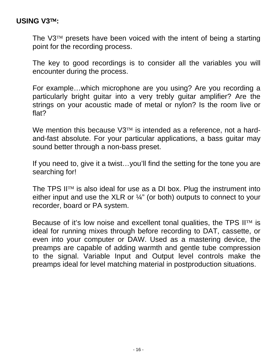#### **USING V3:**

The  $\sqrt{3}$ <sup>M</sup> presets have been voiced with the intent of being a starting point for the recording process.

The key to good recordings is to consider all the variables you will encounter during the process.

For example…which microphone are you using? Are you recording a particularly bright guitar into a very trebly guitar amplifier? Are the strings on your acoustic made of metal or nylon? Is the room live or flat?

We mention this because  $V3^{TM}$  is intended as a reference, not a hardand-fast absolute. For your particular applications, a bass guitar may sound better through a non-bass preset.

If you need to, give it a twist…you'll find the setting for the tone you are searching for!

The TPS  $II^{\mathrm{TM}}$  is also ideal for use as a DI box. Plug the instrument into either input and use the XLR or ¼" (or both) outputs to connect to your recorder, board or PA system.

Because of it's low noise and excellent tonal qualities, the TPS  $II<sup>TM</sup>$  is ideal for running mixes through before recording to DAT, cassette, or even into your computer or DAW. Used as a mastering device, the preamps are capable of adding warmth and gentle tube compression to the signal. Variable Input and Output level controls make the preamps ideal for level matching material in postproduction situations.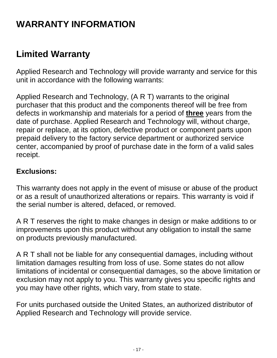# **WARRANTY INFORMATION**

## **Limited Warranty**

Applied Research and Technology will provide warranty and service for this unit in accordance with the following warrants:

Applied Research and Technology, (A R T) warrants to the original purchaser that this product and the components thereof will be free from defects in workmanship and materials for a period of **three** years from the date of purchase. Applied Research and Technology will, without charge, repair or replace, at its option, defective product or component parts upon prepaid delivery to the factory service department or authorized service center, accompanied by proof of purchase date in the form of a valid sales receipt.

#### **Exclusions:**

This warranty does not apply in the event of misuse or abuse of the product or as a result of unauthorized alterations or repairs. This warranty is void if the serial number is altered, defaced, or removed.

A R T reserves the right to make changes in design or make additions to or improvements upon this product without any obligation to install the same on products previously manufactured.

A R T shall not be liable for any consequential damages, including without limitation damages resulting from loss of use. Some states do not allow limitations of incidental or consequential damages, so the above limitation or exclusion may not apply to you. This warranty gives you specific rights and you may have other rights, which vary, from state to state.

For units purchased outside the United States, an authorized distributor of Applied Research and Technology will provide service.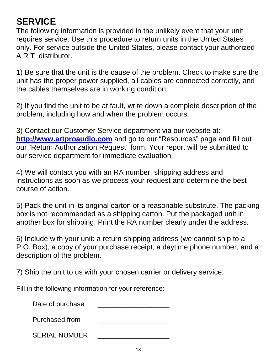# **SERVICE**

The following information is provided in the unlikely event that your unit requires service. Use this procedure to return units in the United States only. For service outside the United States, please contact your authorized A R T distributor.

1) Be sure that the unit is the cause of the problem. Check to make sure the unit has the proper power supplied, all cables are connected correctly, and the cables themselves are in working condition.

2) If you find the unit to be at fault, write down a complete description of the problem, including how and when the problem occurs.

3) Contact our Customer Service department via our website at: **[http://www.artproaudio.com](http://www.artproaudio.com/)** and go to our "Resources" page and fill out our "Return Authorization Request" form. Your report will be submitted to our service department for immediate evaluation.

4) We will contact you with an RA number, shipping address and instructions as soon as we process your request and determine the best course of action.

5) Pack the unit in its original carton or a reasonable substitute. The packing box is not recommended as a shipping carton. Put the packaged unit in another box for shipping. Print the RA number clearly under the address.

6) Include with your unit: a return shipping address (we cannot ship to a P.O. Box), a copy of your purchase receipt, a daytime phone number, and a description of the problem.

7) Ship the unit to us with your chosen carrier or delivery service.

Fill in the following information for your reference:

Date of purchase Purchased from

SERIAL NUMBER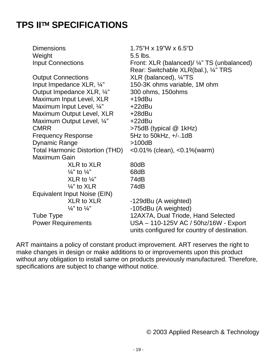## **TPS II™ SPECIFICATIONS**

| 5.5 lbs.                                                                              |
|---------------------------------------------------------------------------------------|
|                                                                                       |
| Front: XLR (balanced)/ ¼" TS (unbalanced)                                             |
| Rear: Switchable XLR(bal.), 1/4" TRS                                                  |
| XLR (balanced), 1/4"TS                                                                |
| 150-3K ohms variable, 1M ohm                                                          |
| 300 ohms, 150 ohms                                                                    |
| $+19$ dBu                                                                             |
| $+22dBu$                                                                              |
| $+28$ dBu                                                                             |
| $+22dBu$                                                                              |
| $>75dB$ (typical $@$ 1kHz)                                                            |
| 5Hz to 50kHz, $+/-1$ dB                                                               |
| >100dB                                                                                |
| $<$ 0.01% (clean), $<$ 0.1% (warm)                                                    |
|                                                                                       |
| 80dB                                                                                  |
| 68dB                                                                                  |
| 74dB                                                                                  |
| 74dB                                                                                  |
|                                                                                       |
| -129dBu (A weighted)                                                                  |
| -105dBu (A weighted)                                                                  |
| 12AX7A, Dual Triode, Hand Selected                                                    |
| USA - 110-125V AC / 50hz/16W - Export<br>units configured for country of destination. |
|                                                                                       |

ART maintains a policy of constant product improvement. ART reserves the right to make changes in design or make additions to or improvements upon this product without any obligation to install same on products previously manufactured. Therefore, specifications are subject to change without notice.